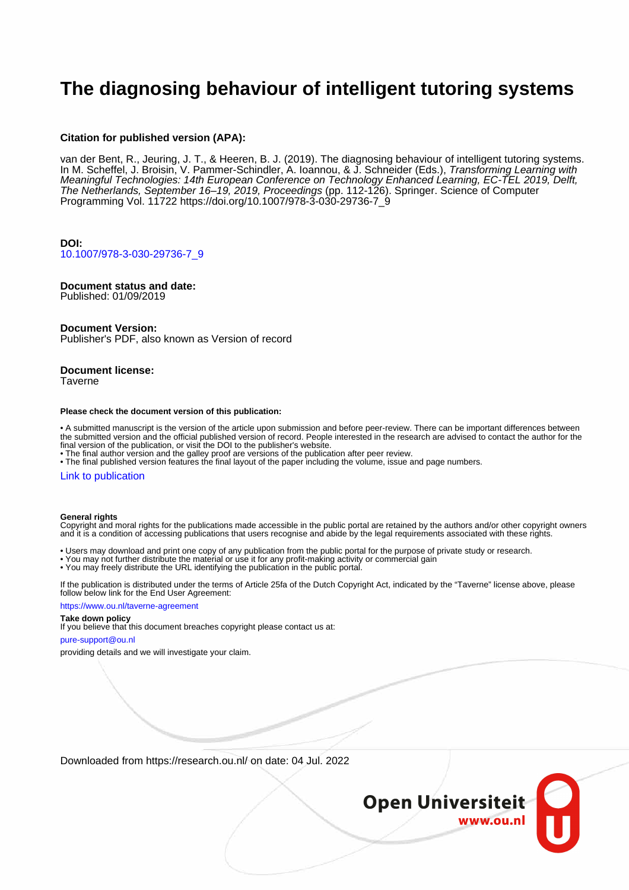# **The diagnosing behaviour of intelligent tutoring systems**

#### **Citation for published version (APA):**

van der Bent, R., Jeuring, J. T., & Heeren, B. J. (2019). The diagnosing behaviour of intelligent tutoring systems. In M. Scheffel, J. Broisin, V. Pammer-Schindler, A. Ioannou, & J. Schneider (Eds.), Transforming Learning with Meaningful Technologies: 14th European Conference on Technology Enhanced Learning, EC-TEL 2019, Delft, The Netherlands, September 16–19, 2019, Proceedings (pp. 112-126). Springer. Science of Computer Programming Vol. 11722 [https://doi.org/10.1007/978-3-030-29736-7\\_9](https://doi.org/10.1007/978-3-030-29736-7_9)

### **DOI:**

[10.1007/978-3-030-29736-7\\_9](https://doi.org/10.1007/978-3-030-29736-7_9)

### **Document status and date:**

Published: 01/09/2019

#### **Document Version:**

Publisher's PDF, also known as Version of record

### **Document license:**

Taverne

#### **Please check the document version of this publication:**

• A submitted manuscript is the version of the article upon submission and before peer-review. There can be important differences between the submitted version and the official published version of record. People interested in the research are advised to contact the author for the final version of the publication, or visit the DOI to the publisher's website.

• The final author version and the galley proof are versions of the publication after peer review.

• The final published version features the final layout of the paper including the volume, issue and page numbers.

#### [Link to publication](https://research.ou.nl/en/publications/2f994d09-8f8f-48b8-a206-b9087baf205f)

#### **General rights**

Copyright and moral rights for the publications made accessible in the public portal are retained by the authors and/or other copyright owners and it is a condition of accessing publications that users recognise and abide by the legal requirements associated with these rights.

- Users may download and print one copy of any publication from the public portal for the purpose of private study or research.
- You may not further distribute the material or use it for any profit-making activity or commercial gain
- You may freely distribute the URL identifying the publication in the public portal.

If the publication is distributed under the terms of Article 25fa of the Dutch Copyright Act, indicated by the "Taverne" license above, please follow below link for the End User Agreement:

#### https://www.ou.nl/taverne-agreement

### **Take down policy**

If you believe that this document breaches copyright please contact us at:

#### pure-support@ou.nl

providing details and we will investigate your claim.

Downloaded from https://research.ou.nl/ on date: 04 Jul. 2022

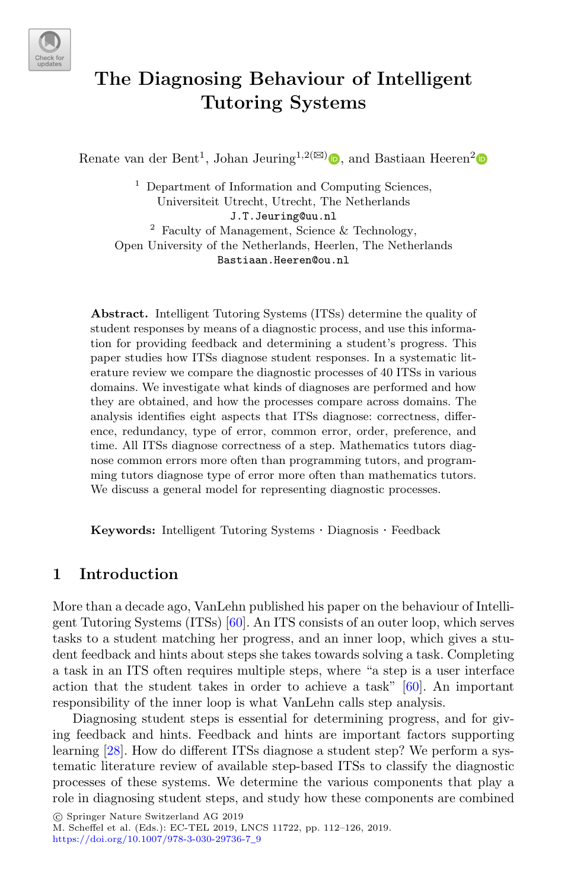

## **The Diagnosing Behaviour of Intelligent Tutoring Systems**

Renate van der Bent<sup>1</sup>[,](http://orcid.org/0000-0001-5645-7681) Johan Jeuring<sup>1,[2](http://orcid.org/0000-0001-6647-6130)( $\boxtimes$ )</sup> , and Bastiaan Heeren<sup>2</sup>

<sup>1</sup> Department of Information and Computing Sciences, Universiteit Utrecht, Utrecht, The Netherlands J.T.Jeuring@uu.nl <sup>2</sup> Faculty of Management, Science & Technology, Open University of the Netherlands, Heerlen, The Netherlands

**Abstract.** Intelligent Tutoring Systems (ITSs) determine the quality of student responses by means of a diagnostic process, and use this information for providing feedback and determining a student's progress. This paper studies how ITSs diagnose student responses. In a systematic literature review we compare the diagnostic processes of 40 ITSs in various domains. We investigate what kinds of diagnoses are performed and how they are obtained, and how the processes compare across domains. The analysis identifies eight aspects that ITSs diagnose: correctness, difference, redundancy, type of error, common error, order, preference, and time. All ITSs diagnose correctness of a step. Mathematics tutors diagnose common errors more often than programming tutors, and programming tutors diagnose type of error more often than mathematics tutors. We discuss a general model for representing diagnostic processes.

**Keywords:** Intelligent Tutoring Systems *·* Diagnosis *·* Feedback

### **1 Introduction**

More than a decade ago, VanLehn published his paper on the behaviour of Intelligent Tutoring Systems (ITSs) [\[60\]](#page-14-0). An ITS consists of an outer loop, which serves tasks to a student matching her progress, and an inner loop, which gives a student feedback and hints about steps she takes towards solving a task. Completing a task in an ITS often requires multiple steps, where "a step is a user interface action that the student takes in order to achieve a task" [\[60\]](#page-14-0). An important responsibility of the inner loop is what VanLehn calls step analysis.

Diagnosing student steps is essential for determining progress, and for giving feedback and hints. Feedback and hints are important factors supporting learning [\[28](#page-12-0)]. How do different ITSs diagnose a student step? We perform a systematic literature review of available step-based ITSs to classify the diagnostic processes of these systems. We determine the various components that play a role in diagnosing student steps, and study how these components are combined

-c Springer Nature Switzerland AG 2019

M. Scheffel et al. (Eds.): EC-TEL 2019, LNCS 11722, pp. 112–126, 2019. [https://doi.org/10.1007/978-3-030-29736-7](https://doi.org/10.1007/978-3-030-29736-7_9)\_9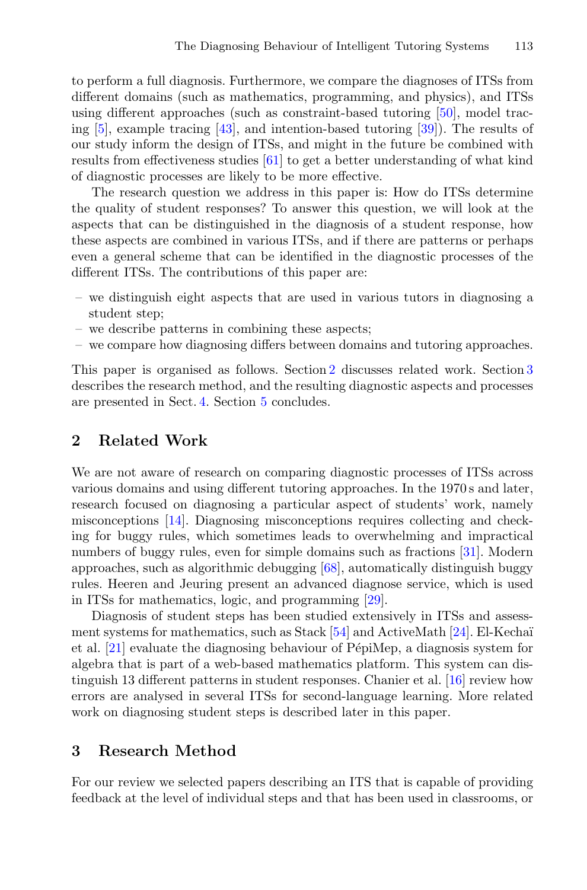to perform a full diagnosis. Furthermore, we compare the diagnoses of ITSs from different domains (such as mathematics, programming, and physics), and ITSs using different approaches (such as constraint-based tutoring [\[50](#page-14-1)], model tracing [\[5](#page-11-0)], example tracing [\[43](#page-13-0)], and intention-based tutoring [\[39](#page-13-1)]). The results of our study inform the design of ITSs, and might in the future be combined with results from effectiveness studies [\[61](#page-14-2)] to get a better understanding of what kind of diagnostic processes are likely to be more effective.

The research question we address in this paper is: How do ITSs determine the quality of student responses? To answer this question, we will look at the aspects that can be distinguished in the diagnosis of a student response, how these aspects are combined in various ITSs, and if there are patterns or perhaps even a general scheme that can be identified in the diagnostic processes of the different ITSs. The contributions of this paper are:

- we distinguish eight aspects that are used in various tutors in diagnosing a student step;
- we describe patterns in combining these aspects;
- we compare how diagnosing differs between domains and tutoring approaches.

This paper is organised as follows. Section [2](#page-2-0) discusses related work. Section [3](#page-2-1) describes the research method, and the resulting diagnostic aspects and processes are presented in Sect. [4.](#page-4-0) Section [5](#page-10-0) concludes.

### <span id="page-2-0"></span>**2 Related Work**

We are not aware of research on comparing diagnostic processes of ITSs across various domains and using different tutoring approaches. In the 1970 s and later, research focused on diagnosing a particular aspect of students' work, namely misconceptions [\[14](#page-11-1)]. Diagnosing misconceptions requires collecting and checking for buggy rules, which sometimes leads to overwhelming and impractical numbers of buggy rules, even for simple domains such as fractions [\[31\]](#page-12-1). Modern approaches, such as algorithmic debugging [\[68\]](#page-15-0), automatically distinguish buggy rules. Heeren and Jeuring present an advanced diagnose service, which is used in ITSs for mathematics, logic, and programming [\[29](#page-12-2)].

Diagnosis of student steps has been studied extensively in ITSs and assess-ment systems for mathematics, such as Stack [\[54](#page-14-3)] and ActiveMath [\[24](#page-12-3)]. El-Kechaï et al.  $[21]$  $[21]$  evaluate the diagnosing behaviour of PépiMep, a diagnosis system for algebra that is part of a web-based mathematics platform. This system can distinguish 13 different patterns in student responses. Chanier et al. [\[16](#page-11-2)] review how errors are analysed in several ITSs for second-language learning. More related work on diagnosing student steps is described later in this paper.

### <span id="page-2-1"></span>**3 Research Method**

For our review we selected papers describing an ITS that is capable of providing feedback at the level of individual steps and that has been used in classrooms, or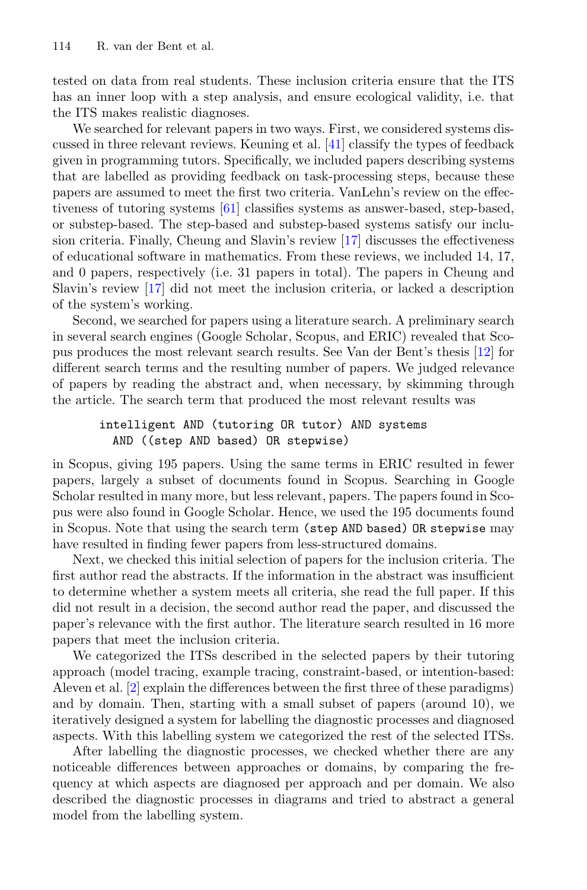tested on data from real students. These inclusion criteria ensure that the ITS has an inner loop with a step analysis, and ensure ecological validity, i.e. that the ITS makes realistic diagnoses.

We searched for relevant papers in two ways. First, we considered systems discussed in three relevant reviews. Keuning et al. [\[41\]](#page-13-2) classify the types of feedback given in programming tutors. Specifically, we included papers describing systems that are labelled as providing feedback on task-processing steps, because these papers are assumed to meet the first two criteria. VanLehn's review on the effectiveness of tutoring systems [\[61](#page-14-2)] classifies systems as answer-based, step-based, or substep-based. The step-based and substep-based systems satisfy our inclusion criteria. Finally, Cheung and Slavin's review [\[17\]](#page-12-5) discusses the effectiveness of educational software in mathematics. From these reviews, we included 14, 17, and 0 papers, respectively (i.e. 31 papers in total). The papers in Cheung and Slavin's review [\[17\]](#page-12-5) did not meet the inclusion criteria, or lacked a description of the system's working.

Second, we searched for papers using a literature search. A preliminary search in several search engines (Google Scholar, Scopus, and ERIC) revealed that Scopus produces the most relevant search results. See Van der Bent's thesis [\[12](#page-11-3)] for different search terms and the resulting number of papers. We judged relevance of papers by reading the abstract and, when necessary, by skimming through the article. The search term that produced the most relevant results was

### intelligent AND (tutoring OR tutor) AND systems AND ((step AND based) OR stepwise)

in Scopus, giving 195 papers. Using the same terms in ERIC resulted in fewer papers, largely a subset of documents found in Scopus. Searching in Google Scholar resulted in many more, but less relevant, papers. The papers found in Scopus were also found in Google Scholar. Hence, we used the 195 documents found in Scopus. Note that using the search term (step AND based) OR stepwise may have resulted in finding fewer papers from less-structured domains.

Next, we checked this initial selection of papers for the inclusion criteria. The first author read the abstracts. If the information in the abstract was insufficient to determine whether a system meets all criteria, she read the full paper. If this did not result in a decision, the second author read the paper, and discussed the paper's relevance with the first author. The literature search resulted in 16 more papers that meet the inclusion criteria.

We categorized the ITSs described in the selected papers by their tutoring approach (model tracing, example tracing, constraint-based, or intention-based: Aleven et al. [\[2](#page-11-4)] explain the differences between the first three of these paradigms) and by domain. Then, starting with a small subset of papers (around 10), we iteratively designed a system for labelling the diagnostic processes and diagnosed aspects. With this labelling system we categorized the rest of the selected ITSs.

After labelling the diagnostic processes, we checked whether there are any noticeable differences between approaches or domains, by comparing the frequency at which aspects are diagnosed per approach and per domain. We also described the diagnostic processes in diagrams and tried to abstract a general model from the labelling system.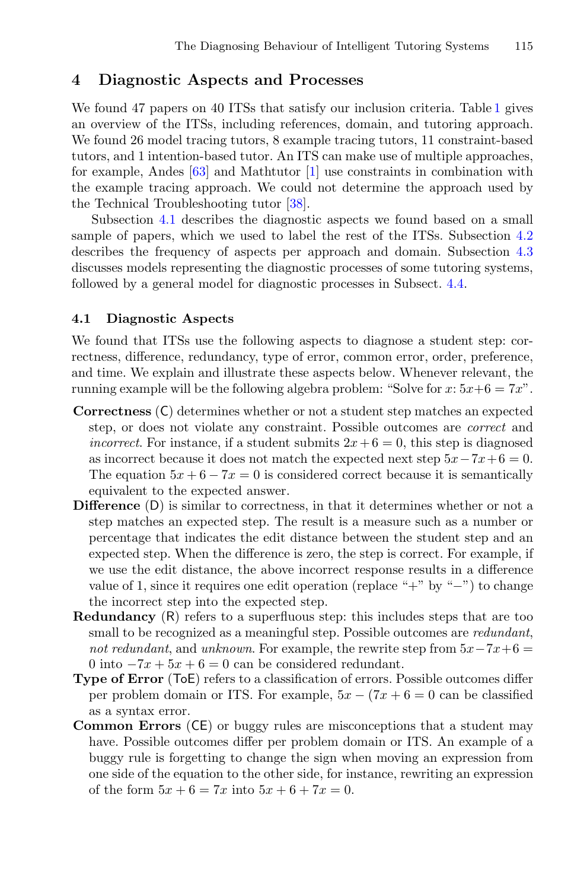### <span id="page-4-0"></span>**4 Diagnostic Aspects and Processes**

We found 47 papers on 40 ITSs that satisfy our inclusion criteria. Table [1](#page-5-0) gives an overview of the ITSs, including references, domain, and tutoring approach. We found 26 model tracing tutors, 8 example tracing tutors, 11 constraint-based tutors, and 1 intention-based tutor. An ITS can make use of multiple approaches, for example, Andes [\[63](#page-14-4)] and Mathtutor [\[1\]](#page-11-5) use constraints in combination with the example tracing approach. We could not determine the approach used by the Technical Troubleshooting tutor [\[38\]](#page-13-3).

Subsection [4.1](#page-4-1) describes the diagnostic aspects we found based on a small sample of papers, which we used to label the rest of the ITSs. Subsection [4.2](#page-6-0) describes the frequency of aspects per approach and domain. Subsection [4.3](#page-8-0) discusses models representing the diagnostic processes of some tutoring systems, followed by a general model for diagnostic processes in Subsect. [4.4.](#page-9-0)

#### <span id="page-4-1"></span>**4.1 Diagnostic Aspects**

We found that ITSs use the following aspects to diagnose a student step: correctness, difference, redundancy, type of error, common error, order, preference, and time. We explain and illustrate these aspects below. Whenever relevant, the running example will be the following algebra problem: "Solve for  $x: 5x+6 = 7x$ ".

- **Correctness** (C) determines whether or not a student step matches an expected step, or does not violate any constraint. Possible outcomes are *correct* and *incorrect*. For instance, if a student submits  $2x + 6 = 0$ , this step is diagnosed as incorrect because it does not match the expected next step  $5x - 7x + 6 = 0$ . The equation  $5x + 6 - 7x = 0$  is considered correct because it is semantically equivalent to the expected answer.
- **Difference** (D) is similar to correctness, in that it determines whether or not a step matches an expected step. The result is a measure such as a number or percentage that indicates the edit distance between the student step and an expected step. When the difference is zero, the step is correct. For example, if we use the edit distance, the above incorrect response results in a difference value of 1, since it requires one edit operation (replace "+" by "*−*") to change the incorrect step into the expected step.
- **Redundancy** (R) refers to a superfluous step: this includes steps that are too small to be recognized as a meaningful step. Possible outcomes are *redundant*, *not redundant*, and *unknown*. For example, the rewrite step from  $5x - 7x + 6 =$ 0 into  $-7x + 5x + 6 = 0$  can be considered redundant.
- **Type of Error** (ToE) refers to a classification of errors. Possible outcomes differ per problem domain or ITS. For example,  $5x - (7x + 6) = 0$  can be classified as a syntax error.
- **Common Errors** (CE) or buggy rules are misconceptions that a student may have. Possible outcomes differ per problem domain or ITS. An example of a buggy rule is forgetting to change the sign when moving an expression from one side of the equation to the other side, for instance, rewriting an expression of the form  $5x + 6 = 7x$  into  $5x + 6 + 7x = 0$ .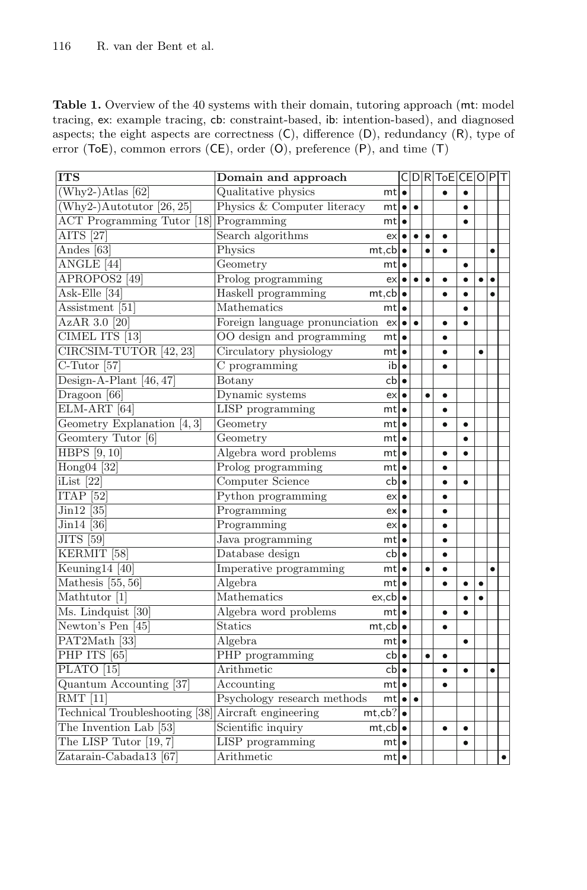<span id="page-5-0"></span>**Table 1.** Overview of the 40 systems with their domain, tutoring approach (mt: model tracing, ex: example tracing, cb: constraint-based, ib: intention-based), and diagnosed aspects; the eight aspects are correctness  $(C)$ , difference  $(D)$ , redundancy  $(R)$ , type of error (ToE), common errors (CE), order (O), preference (P), and time (T)

| <b>ITS</b>                       | Domain and approach                  |                    |           |           |           | DRToECEOPT |           |           |           |  |
|----------------------------------|--------------------------------------|--------------------|-----------|-----------|-----------|------------|-----------|-----------|-----------|--|
| $(Why2-)Atlas$ [62]              | Qualitative physics<br>m t           |                    |           |           |           | $\bullet$  | $\bullet$ |           |           |  |
| (Why2-)Autotutor $[26, 25]$      | Physics & Computer literacy<br>m t   |                    |           |           |           |            |           |           |           |  |
| <b>ACT</b> Programming Tutor     | [18] Programming<br>mt<br>$\bullet$  |                    |           |           |           |            | $\bullet$ |           |           |  |
| <b>AITS</b> [27]                 | Search algorithms<br>ex<br>$\bullet$ |                    |           | $\bullet$ | $\bullet$ | ٠          |           |           |           |  |
| Andes [63]                       | Physics                              | mt.cb              | $\bullet$ |           | $\bullet$ | $\bullet$  |           |           | $\bullet$ |  |
| ANGLE <sup>[44]</sup>            | Geometry                             | mt                 | $\bullet$ |           |           |            | $\bullet$ |           |           |  |
| APROPOS2 <sup>[49]</sup>         | Prolog programming                   | ex                 |           | $\bullet$ | $\bullet$ | $\bullet$  | $\bullet$ | $\bullet$ | $\bullet$ |  |
| Ask-Elle [34]                    | Haskell programming                  | $m$ t,cb $\bullet$ |           |           |           | $\bullet$  | $\bullet$ |           | $\bullet$ |  |
| Assistment [51]                  | Mathematics                          | mt                 | $\bullet$ |           |           |            | $\bullet$ |           |           |  |
| AzAR 3.0 [20]                    | Foreign language pronunciation       | ex                 | $\bullet$ | $\bullet$ |           | $\bullet$  | $\bullet$ |           |           |  |
| CIMEL ITS [13]                   | OO design and programming            | mt                 | $\bullet$ |           |           | ٠          |           |           |           |  |
| CIRCSIM-TUTOR <sup>[42,23]</sup> | Circulatory physiology               | mt                 |           |           |           | ٠          |           | $\bullet$ |           |  |
| $C-Tutor$ [57]                   | $\overline{\mathrm{C}}$ programming  | ib                 | $\bullet$ |           |           | $\bullet$  |           |           |           |  |
| Design-A-Plant [46, 47]          | Botany                               | cb                 |           |           |           |            |           |           |           |  |
| Dragoon [66]                     | Dynamic systems                      | ex                 | $\bullet$ |           | $\bullet$ | $\bullet$  |           |           |           |  |
| ELM-ART <sup>[64]</sup>          | <b>LISP</b> programming              | mt                 | $\bullet$ |           |           | $\bullet$  |           |           |           |  |
| Geometry Explanation<br>[4, 3]   | Geometry                             | mt                 | $\bullet$ |           |           | $\bullet$  | $\bullet$ |           |           |  |
| Geomtery Tutor [6]               | Geometry                             | mt                 |           |           |           |            | $\bullet$ |           |           |  |
| <b>HBPS</b> [9, 10]              | Algebra word problems                | mt                 | $\bullet$ |           |           | $\bullet$  | $\bullet$ |           |           |  |
| Hong04 <sup>[32]</sup>           | Prolog programming                   | mt                 | $\bullet$ |           |           | $\bullet$  |           |           |           |  |
| iList [22]                       | Computer Science                     | cb                 | $\bullet$ |           |           | $\bullet$  | $\bullet$ |           |           |  |
| $ITAP$ [52]                      | Python programming                   | ex                 |           |           |           | ٠          |           |           |           |  |
| $J\in[35]$                       | Programming                          | ex                 |           |           |           | ٠          |           |           |           |  |
| Jin14 [36]                       | Programming                          | ex                 |           |           |           | $\bullet$  |           |           |           |  |
| <b>JITS</b> [59]                 | Java programming                     | mt                 |           |           |           | $\bullet$  |           |           |           |  |
| KERMIT <sup>[58]</sup>           | Database design                      | cb                 | $\bullet$ |           |           | $\bullet$  |           |           |           |  |
| Keuning14 [40]                   | Imperative programming               | mt                 | $\bullet$ |           | $\bullet$ | $\bullet$  |           |           | $\bullet$ |  |
| Mathesis $[55, 56]$              | Algebra                              | mt                 | $\bullet$ |           |           | $\bullet$  | $\bullet$ | $\bullet$ |           |  |
| Mathtutor <sup>[1]</sup>         | Mathematics                          | ex,cb              |           |           |           |            | $\bullet$ |           |           |  |
| Ms. Lindquist [30]               | Algebra word problems                | mt                 | $\bullet$ |           |           | ٠          | $\bullet$ |           |           |  |
| Newton's Pen [45]                | Statics                              | $m$ t,cb $\bullet$ |           |           |           | $\bullet$  |           |           |           |  |
| PAT2Math [33]                    | Algebra                              | mt                 | $\bullet$ |           |           |            | $\bullet$ |           |           |  |
| PHP ITS [65]                     | PHP programming                      | cb                 | $\bullet$ |           | $\bullet$ | $\bullet$  |           |           |           |  |
| PLATO <sup>[15]</sup>            | Arithmetic                           | cb                 |           |           |           | $\bullet$  | ٠         |           | $\bullet$ |  |
| Quantum Accounting [37]          | Accounting                           | mt                 |           |           |           |            |           |           |           |  |
| $RMT$ [11]                       | Psychology research methods          | mt                 |           | $\bullet$ |           |            |           |           |           |  |
| Technical Troubleshooting [38]   | Aircraft engineering<br>mt,cb?       |                    | $\bullet$ |           |           |            |           |           |           |  |
| The Invention Lab [53]           | Scientific inquiry                   | mtcb               |           |           |           | $\bullet$  | $\bullet$ |           |           |  |
| The LISP Tutor $[19, 7]$         | LISP programming                     | mtl                | $\bullet$ |           |           |            | $\bullet$ |           |           |  |
| Zatarain-Cabada13 [67]           | Arithmetic                           | $mt \bullet$       |           |           |           |            |           |           |           |  |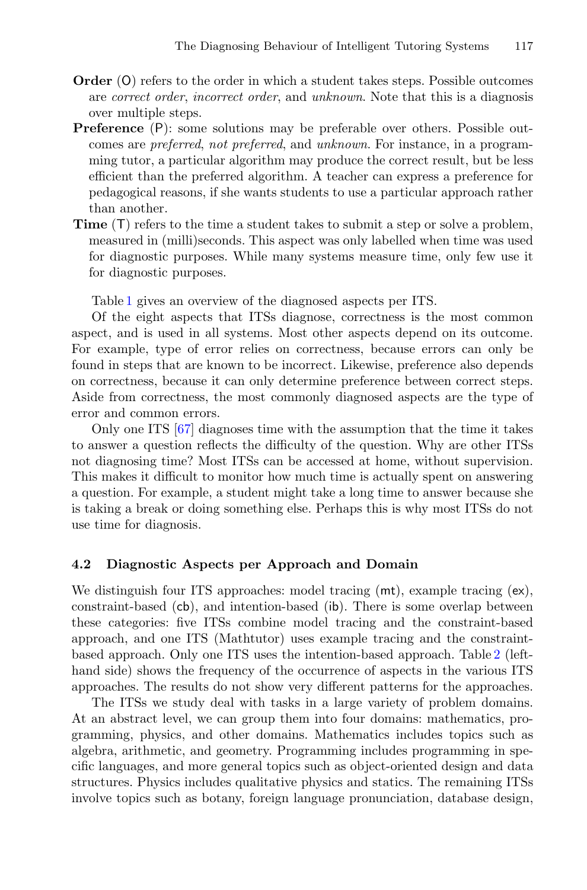- **Order** (O) refers to the order in which a student takes steps. Possible outcomes are *correct order*, *incorrect order*, and *unknown*. Note that this is a diagnosis over multiple steps.
- **Preference** (P): some solutions may be preferable over others. Possible outcomes are *preferred*, *not preferred*, and *unknown*. For instance, in a programming tutor, a particular algorithm may produce the correct result, but be less efficient than the preferred algorithm. A teacher can express a preference for pedagogical reasons, if she wants students to use a particular approach rather than another.
- **Time** (T) refers to the time a student takes to submit a step or solve a problem, measured in (milli)seconds. This aspect was only labelled when time was used for diagnostic purposes. While many systems measure time, only few use it for diagnostic purposes.

Table [1](#page-5-0) gives an overview of the diagnosed aspects per ITS.

Of the eight aspects that ITSs diagnose, correctness is the most common aspect, and is used in all systems. Most other aspects depend on its outcome. For example, type of error relies on correctness, because errors can only be found in steps that are known to be incorrect. Likewise, preference also depends on correctness, because it can only determine preference between correct steps. Aside from correctness, the most commonly diagnosed aspects are the type of error and common errors.

Only one ITS [\[67\]](#page-15-1) diagnoses time with the assumption that the time it takes to answer a question reflects the difficulty of the question. Why are other ITSs not diagnosing time? Most ITSs can be accessed at home, without supervision. This makes it difficult to monitor how much time is actually spent on answering a question. For example, a student might take a long time to answer because she is taking a break or doing something else. Perhaps this is why most ITSs do not use time for diagnosis.

#### <span id="page-6-0"></span>**4.2 Diagnostic Aspects per Approach and Domain**

We distinguish four ITS approaches: model tracing  $(mt)$ , example tracing  $(ex)$ , constraint-based (cb), and intention-based (ib). There is some overlap between these categories: five ITSs combine model tracing and the constraint-based approach, and one ITS (Mathtutor) uses example tracing and the constraintbased approach. Only one ITS uses the intention-based approach. Table [2](#page-7-0) (lefthand side) shows the frequency of the occurrence of aspects in the various ITS approaches. The results do not show very different patterns for the approaches.

The ITSs we study deal with tasks in a large variety of problem domains. At an abstract level, we can group them into four domains: mathematics, programming, physics, and other domains. Mathematics includes topics such as algebra, arithmetic, and geometry. Programming includes programming in specific languages, and more general topics such as object-oriented design and data structures. Physics includes qualitative physics and statics. The remaining ITSs involve topics such as botany, foreign language pronunciation, database design,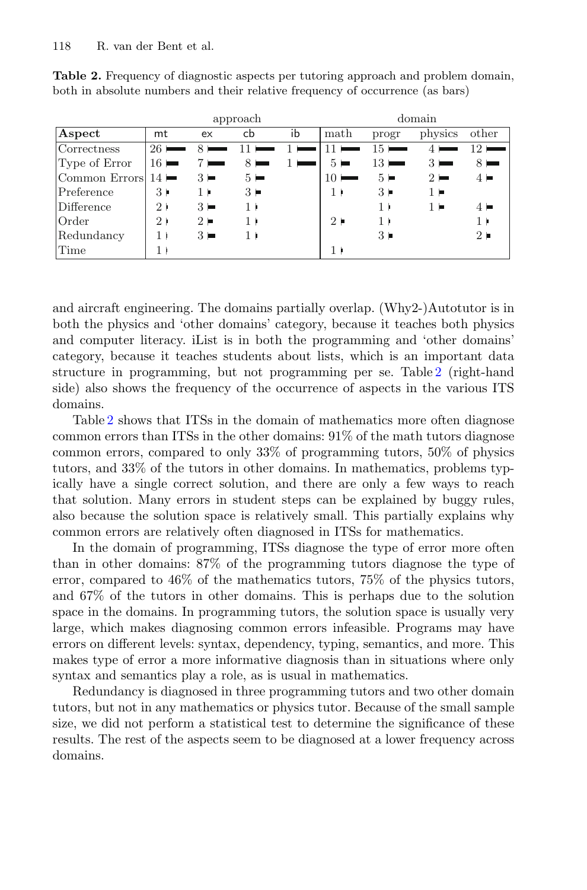|                                 | approach          |                       |                  | domain |                           |                          |                         |                         |
|---------------------------------|-------------------|-----------------------|------------------|--------|---------------------------|--------------------------|-------------------------|-------------------------|
| Aspect                          | mt                | ex                    | cb               | ib     | math                      | progr                    | physics                 | other                   |
| Correctness                     | 26 <sup>1</sup>   | 8                     |                  |        | 11                        | $15 \blacktriangleright$ | 41                      | 12 <sup>1</sup>         |
| Type of Error                   | $16 \blacksquare$ | 71<br>and the control | $8 =$<br>an an   |        | $5 =$                     | $13 \equiv$              | $3 =$                   | $8 =$                   |
| Common Errors $14 \blacksquare$ |                   | $3 =$                 | $5 =$            |        | $10 -$<br>and the control | $5 \blacksquare$         | $2 =$                   | $4 \blacksquare$        |
| Preference                      | $3+$              | 1 P                   | $3 \blacksquare$ |        | י 1                       | $3 \blacksquare$         | $1 \blacktriangleright$ |                         |
| Difference                      | 2 <sub>1</sub>    | $3 =$                 | 11               |        |                           | 11                       | $1 \blacksquare$        | $4 \blacksquare$        |
| Order                           | 2 <sub>1</sub>    | $2 \blacksquare$      | 1 F              |        | 2.                        | 11                       |                         | 11                      |
| Redundancy                      |                   | $3 =$                 | 11               |        |                           | $3 \blacktriangleright$  |                         | $2 \blacktriangleright$ |
| Time                            |                   |                       |                  |        | 11                        |                          |                         |                         |

<span id="page-7-0"></span>**Table 2.** Frequency of diagnostic aspects per tutoring approach and problem domain, both in absolute numbers and their relative frequency of occurrence (as bars)

and aircraft engineering. The domains partially overlap. (Why2-)Autotutor is in both the physics and 'other domains' category, because it teaches both physics and computer literacy. iList is in both the programming and 'other domains' category, because it teaches students about lists, which is an important data structure in programming, but not programming per se. Table [2](#page-7-0) (right-hand side) also shows the frequency of the occurrence of aspects in the various ITS domains.

Table [2](#page-7-0) shows that ITSs in the domain of mathematics more often diagnose common errors than ITSs in the other domains: 91% of the math tutors diagnose common errors, compared to only 33% of programming tutors, 50% of physics tutors, and 33% of the tutors in other domains. In mathematics, problems typically have a single correct solution, and there are only a few ways to reach that solution. Many errors in student steps can be explained by buggy rules, also because the solution space is relatively small. This partially explains why common errors are relatively often diagnosed in ITSs for mathematics.

In the domain of programming, ITSs diagnose the type of error more often than in other domains: 87% of the programming tutors diagnose the type of error, compared to 46% of the mathematics tutors, 75% of the physics tutors, and 67% of the tutors in other domains. This is perhaps due to the solution space in the domains. In programming tutors, the solution space is usually very large, which makes diagnosing common errors infeasible. Programs may have errors on different levels: syntax, dependency, typing, semantics, and more. This makes type of error a more informative diagnosis than in situations where only syntax and semantics play a role, as is usual in mathematics.

Redundancy is diagnosed in three programming tutors and two other domain tutors, but not in any mathematics or physics tutor. Because of the small sample size, we did not perform a statistical test to determine the significance of these results. The rest of the aspects seem to be diagnosed at a lower frequency across domains.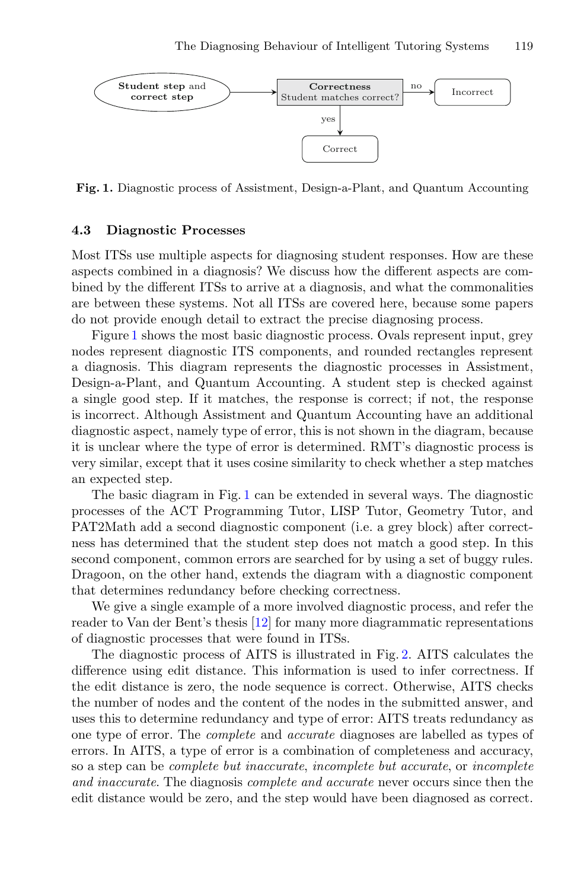

<span id="page-8-1"></span>**Fig. 1.** Diagnostic process of Assistment, Design-a-Plant, and Quantum Accounting

#### <span id="page-8-0"></span>**4.3 Diagnostic Processes**

Most ITSs use multiple aspects for diagnosing student responses. How are these aspects combined in a diagnosis? We discuss how the different aspects are combined by the different ITSs to arrive at a diagnosis, and what the commonalities are between these systems. Not all ITSs are covered here, because some papers do not provide enough detail to extract the precise diagnosing process.

Figure [1](#page-8-1) shows the most basic diagnostic process. Ovals represent input, grey nodes represent diagnostic ITS components, and rounded rectangles represent a diagnosis. This diagram represents the diagnostic processes in Assistment, Design-a-Plant, and Quantum Accounting. A student step is checked against a single good step. If it matches, the response is correct; if not, the response is incorrect. Although Assistment and Quantum Accounting have an additional diagnostic aspect, namely type of error, this is not shown in the diagram, because it is unclear where the type of error is determined. RMT's diagnostic process is very similar, except that it uses cosine similarity to check whether a step matches an expected step.

The basic diagram in Fig. [1](#page-8-1) can be extended in several ways. The diagnostic processes of the ACT Programming Tutor, LISP Tutor, Geometry Tutor, and PAT2Math add a second diagnostic component (i.e. a grey block) after correctness has determined that the student step does not match a good step. In this second component, common errors are searched for by using a set of buggy rules. Dragoon, on the other hand, extends the diagram with a diagnostic component that determines redundancy before checking correctness.

We give a single example of a more involved diagnostic process, and refer the reader to Van der Bent's thesis [\[12\]](#page-11-3) for many more diagrammatic representations of diagnostic processes that were found in ITSs.

The diagnostic process of AITS is illustrated in Fig. [2.](#page-9-1) AITS calculates the difference using edit distance. This information is used to infer correctness. If the edit distance is zero, the node sequence is correct. Otherwise, AITS checks the number of nodes and the content of the nodes in the submitted answer, and uses this to determine redundancy and type of error: AITS treats redundancy as one type of error. The *complete* and *accurate* diagnoses are labelled as types of errors. In AITS, a type of error is a combination of completeness and accuracy, so a step can be *complete but inaccurate*, *incomplete but accurate*, or *incomplete and inaccurate*. The diagnosis *complete and accurate* never occurs since then the edit distance would be zero, and the step would have been diagnosed as correct.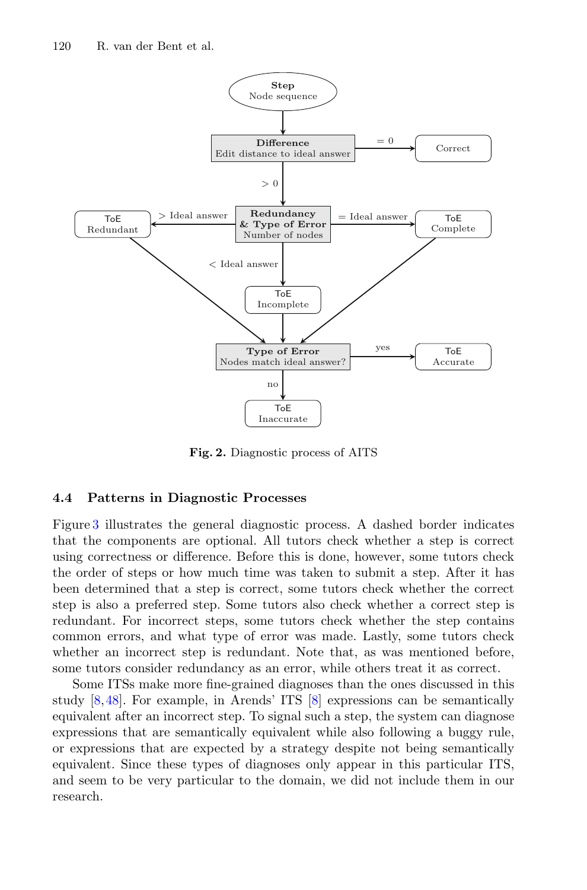

<span id="page-9-1"></span>**Fig. 2.** Diagnostic process of AITS

#### <span id="page-9-0"></span>**4.4 Patterns in Diagnostic Processes**

Figure [3](#page-10-1) illustrates the general diagnostic process. A dashed border indicates that the components are optional. All tutors check whether a step is correct using correctness or difference. Before this is done, however, some tutors check the order of steps or how much time was taken to submit a step. After it has been determined that a step is correct, some tutors check whether the correct step is also a preferred step. Some tutors also check whether a correct step is redundant. For incorrect steps, some tutors check whether the step contains common errors, and what type of error was made. Lastly, some tutors check whether an incorrect step is redundant. Note that, as was mentioned before, some tutors consider redundancy as an error, while others treat it as correct.

Some ITSs make more fine-grained diagnoses than the ones discussed in this study [\[8](#page-11-6)[,48](#page-13-4)]. For example, in Arends' ITS [\[8](#page-11-6)] expressions can be semantically equivalent after an incorrect step. To signal such a step, the system can diagnose expressions that are semantically equivalent while also following a buggy rule, or expressions that are expected by a strategy despite not being semantically equivalent. Since these types of diagnoses only appear in this particular ITS, and seem to be very particular to the domain, we did not include them in our research.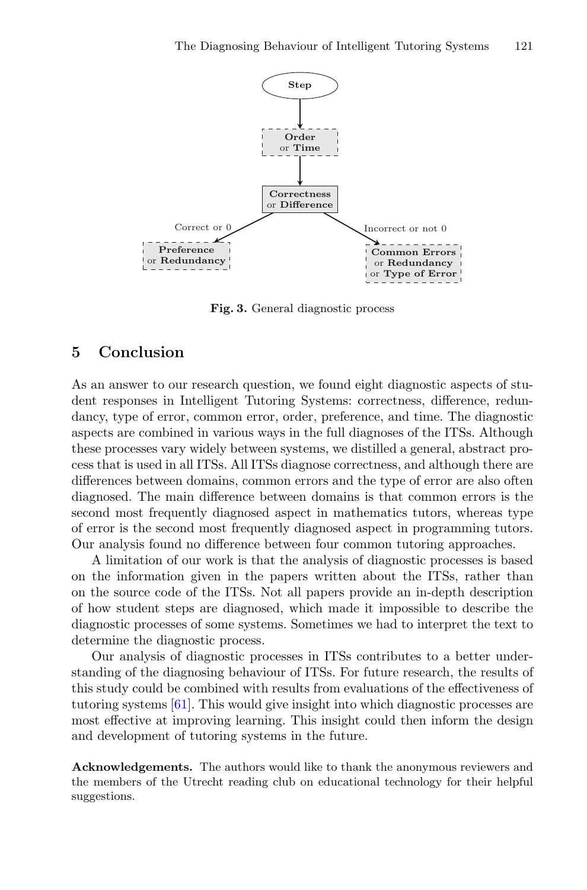

<span id="page-10-1"></span>**Fig. 3.** General diagnostic process

### <span id="page-10-0"></span>**5 Conclusion**

As an answer to our research question, we found eight diagnostic aspects of student responses in Intelligent Tutoring Systems: correctness, difference, redundancy, type of error, common error, order, preference, and time. The diagnostic aspects are combined in various ways in the full diagnoses of the ITSs. Although these processes vary widely between systems, we distilled a general, abstract process that is used in all ITSs. All ITSs diagnose correctness, and although there are differences between domains, common errors and the type of error are also often diagnosed. The main difference between domains is that common errors is the second most frequently diagnosed aspect in mathematics tutors, whereas type of error is the second most frequently diagnosed aspect in programming tutors. Our analysis found no difference between four common tutoring approaches.

A limitation of our work is that the analysis of diagnostic processes is based on the information given in the papers written about the ITSs, rather than on the source code of the ITSs. Not all papers provide an in-depth description of how student steps are diagnosed, which made it impossible to describe the diagnostic processes of some systems. Sometimes we had to interpret the text to determine the diagnostic process.

Our analysis of diagnostic processes in ITSs contributes to a better understanding of the diagnosing behaviour of ITSs. For future research, the results of this study could be combined with results from evaluations of the effectiveness of tutoring systems [\[61](#page-14-2)]. This would give insight into which diagnostic processes are most effective at improving learning. This insight could then inform the design and development of tutoring systems in the future.

**Acknowledgements.** The authors would like to thank the anonymous reviewers and the members of the Utrecht reading club on educational technology for their helpful suggestions.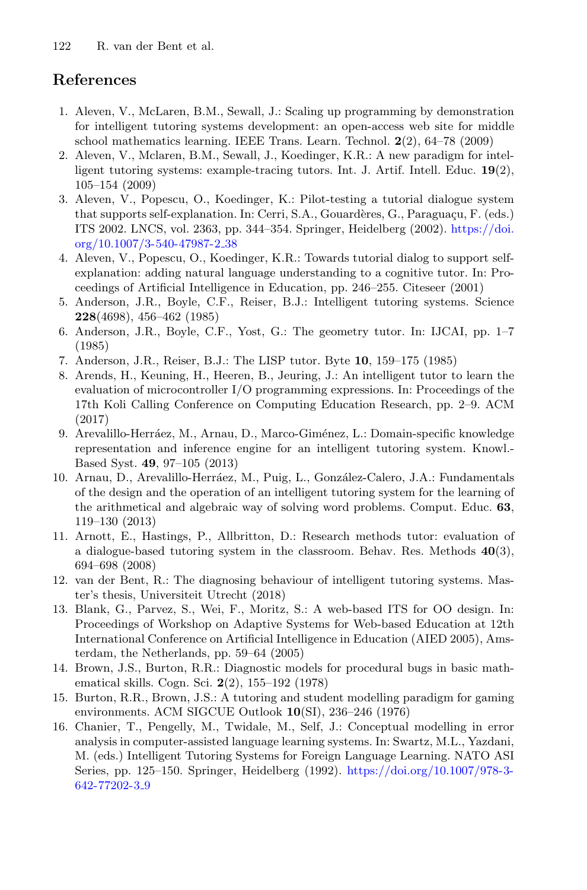### **References**

- <span id="page-11-5"></span>1. Aleven, V., McLaren, B.M., Sewall, J.: Scaling up programming by demonstration for intelligent tutoring systems development: an open-access web site for middle school mathematics learning. IEEE Trans. Learn. Technol. **2**(2), 64–78 (2009)
- <span id="page-11-4"></span>2. Aleven, V., Mclaren, B.M., Sewall, J., Koedinger, K.R.: A new paradigm for intelligent tutoring systems: example-tracing tutors. Int. J. Artif. Intell. Educ. **19**(2), 105–154 (2009)
- 3. Aleven, V., Popescu, O., Koedinger, K.: Pilot-testing a tutorial dialogue system that supports self-explanation. In: Cerri, S.A., Gouardères, G., Paraguaçu, F. (eds.) ITS 2002. LNCS, vol. 2363, pp. 344–354. Springer, Heidelberg (2002). [https://doi.](https://doi.org/10.1007/3-540-47987-2_38) [org/10.1007/3-540-47987-2](https://doi.org/10.1007/3-540-47987-2_38) 38
- 4. Aleven, V., Popescu, O., Koedinger, K.R.: Towards tutorial dialog to support selfexplanation: adding natural language understanding to a cognitive tutor. In: Proceedings of Artificial Intelligence in Education, pp. 246–255. Citeseer (2001)
- <span id="page-11-0"></span>5. Anderson, J.R., Boyle, C.F., Reiser, B.J.: Intelligent tutoring systems. Science **228**(4698), 456–462 (1985)
- 6. Anderson, J.R., Boyle, C.F., Yost, G.: The geometry tutor. In: IJCAI, pp. 1–7 (1985)
- 7. Anderson, J.R., Reiser, B.J.: The LISP tutor. Byte **10**, 159–175 (1985)
- <span id="page-11-6"></span>8. Arends, H., Keuning, H., Heeren, B., Jeuring, J.: An intelligent tutor to learn the evaluation of microcontroller I/O programming expressions. In: Proceedings of the 17th Koli Calling Conference on Computing Education Research, pp. 2–9. ACM (2017)
- 9. Arevalillo-Herráez, M., Arnau, D., Marco-Giménez, L.: Domain-specific knowledge representation and inference engine for an intelligent tutoring system. Knowl.- Based Syst. **49**, 97–105 (2013)
- 10. Arnau, D., Arevalillo-Herráez, M., Puig, L., González-Calero, J.A.: Fundamentals of the design and the operation of an intelligent tutoring system for the learning of the arithmetical and algebraic way of solving word problems. Comput. Educ. **63**, 119–130 (2013)
- 11. Arnott, E., Hastings, P., Allbritton, D.: Research methods tutor: evaluation of a dialogue-based tutoring system in the classroom. Behav. Res. Methods **40**(3), 694–698 (2008)
- <span id="page-11-3"></span>12. van der Bent, R.: The diagnosing behaviour of intelligent tutoring systems. Master's thesis, Universiteit Utrecht (2018)
- 13. Blank, G., Parvez, S., Wei, F., Moritz, S.: A web-based ITS for OO design. In: Proceedings of Workshop on Adaptive Systems for Web-based Education at 12th International Conference on Artificial Intelligence in Education (AIED 2005), Amsterdam, the Netherlands, pp. 59–64 (2005)
- <span id="page-11-1"></span>14. Brown, J.S., Burton, R.R.: Diagnostic models for procedural bugs in basic mathematical skills. Cogn. Sci. **2**(2), 155–192 (1978)
- 15. Burton, R.R., Brown, J.S.: A tutoring and student modelling paradigm for gaming environments. ACM SIGCUE Outlook **10**(SI), 236–246 (1976)
- <span id="page-11-2"></span>16. Chanier, T., Pengelly, M., Twidale, M., Self, J.: Conceptual modelling in error analysis in computer-assisted language learning systems. In: Swartz, M.L., Yazdani, M. (eds.) Intelligent Tutoring Systems for Foreign Language Learning. NATO ASI Series, pp. 125–150. Springer, Heidelberg (1992). [https://doi.org/10.1007/978-3-](https://doi.org/10.1007/978-3-642-77202-3_9) [642-77202-3](https://doi.org/10.1007/978-3-642-77202-3_9).9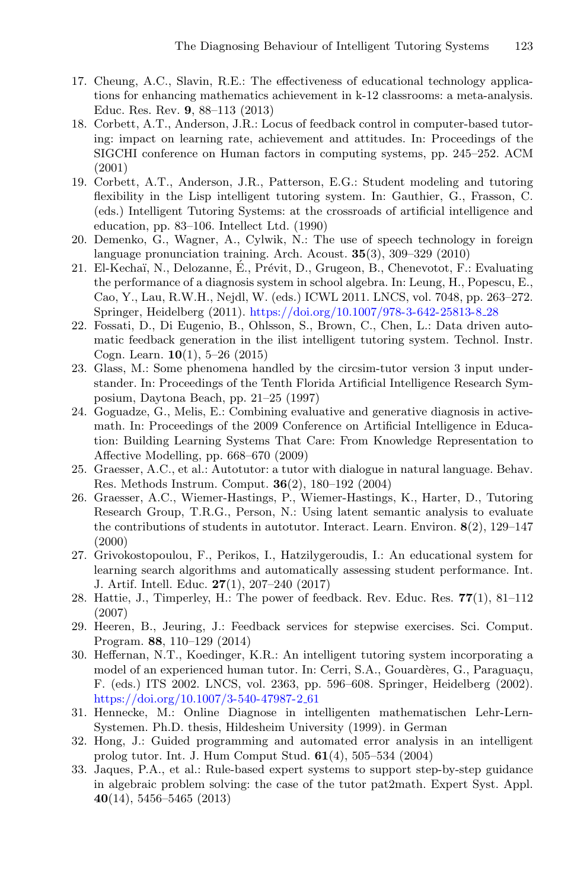- <span id="page-12-5"></span>17. Cheung, A.C., Slavin, R.E.: The effectiveness of educational technology applications for enhancing mathematics achievement in k-12 classrooms: a meta-analysis. Educ. Res. Rev. **9**, 88–113 (2013)
- 18. Corbett, A.T., Anderson, J.R.: Locus of feedback control in computer-based tutoring: impact on learning rate, achievement and attitudes. In: Proceedings of the SIGCHI conference on Human factors in computing systems, pp. 245–252. ACM (2001)
- 19. Corbett, A.T., Anderson, J.R., Patterson, E.G.: Student modeling and tutoring flexibility in the Lisp intelligent tutoring system. In: Gauthier, G., Frasson, C. (eds.) Intelligent Tutoring Systems: at the crossroads of artificial intelligence and education, pp. 83–106. Intellect Ltd. (1990)
- 20. Demenko, G., Wagner, A., Cylwik, N.: The use of speech technology in foreign language pronunciation training. Arch. Acoust. **35**(3), 309–329 (2010)
- <span id="page-12-4"></span>21. El-Kechaï, N., Delozanne, É., Prévit, D., Grugeon, B., Chenevotot, F.: Evaluating the performance of a diagnosis system in school algebra. In: Leung, H., Popescu, E., Cao, Y., Lau, R.W.H., Nejdl, W. (eds.) ICWL 2011. LNCS, vol. 7048, pp. 263–272. Springer, Heidelberg (2011). [https://doi.org/10.1007/978-3-642-25813-8](https://doi.org/10.1007/978-3-642-25813-8_28) 28
- 22. Fossati, D., Di Eugenio, B., Ohlsson, S., Brown, C., Chen, L.: Data driven automatic feedback generation in the ilist intelligent tutoring system. Technol. Instr. Cogn. Learn. **10**(1), 5–26 (2015)
- 23. Glass, M.: Some phenomena handled by the circsim-tutor version 3 input understander. In: Proceedings of the Tenth Florida Artificial Intelligence Research Symposium, Daytona Beach, pp. 21–25 (1997)
- <span id="page-12-3"></span>24. Goguadze, G., Melis, E.: Combining evaluative and generative diagnosis in activemath. In: Proceedings of the 2009 Conference on Artificial Intelligence in Education: Building Learning Systems That Care: From Knowledge Representation to Affective Modelling, pp. 668–670 (2009)
- 25. Graesser, A.C., et al.: Autotutor: a tutor with dialogue in natural language. Behav. Res. Methods Instrum. Comput. **36**(2), 180–192 (2004)
- 26. Graesser, A.C., Wiemer-Hastings, P., Wiemer-Hastings, K., Harter, D., Tutoring Research Group, T.R.G., Person, N.: Using latent semantic analysis to evaluate the contributions of students in autotutor. Interact. Learn. Environ. **8**(2), 129–147 (2000)
- 27. Grivokostopoulou, F., Perikos, I., Hatzilygeroudis, I.: An educational system for learning search algorithms and automatically assessing student performance. Int. J. Artif. Intell. Educ. **27**(1), 207–240 (2017)
- <span id="page-12-0"></span>28. Hattie, J., Timperley, H.: The power of feedback. Rev. Educ. Res. **77**(1), 81–112 (2007)
- <span id="page-12-2"></span>29. Heeren, B., Jeuring, J.: Feedback services for stepwise exercises. Sci. Comput. Program. **88**, 110–129 (2014)
- 30. Heffernan, N.T., Koedinger, K.R.: An intelligent tutoring system incorporating a model of an experienced human tutor. In: Cerri, S.A., Gouardères, G., Paraguaçu, F. (eds.) ITS 2002. LNCS, vol. 2363, pp. 596–608. Springer, Heidelberg (2002). [https://doi.org/10.1007/3-540-47987-2](https://doi.org/10.1007/3-540-47987-2_61) 61
- <span id="page-12-1"></span>31. Hennecke, M.: Online Diagnose in intelligenten mathematischen Lehr-Lern-Systemen. Ph.D. thesis, Hildesheim University (1999). in German
- 32. Hong, J.: Guided programming and automated error analysis in an intelligent prolog tutor. Int. J. Hum Comput Stud. **61**(4), 505–534 (2004)
- 33. Jaques, P.A., et al.: Rule-based expert systems to support step-by-step guidance in algebraic problem solving: the case of the tutor pat2math. Expert Syst. Appl. **40**(14), 5456–5465 (2013)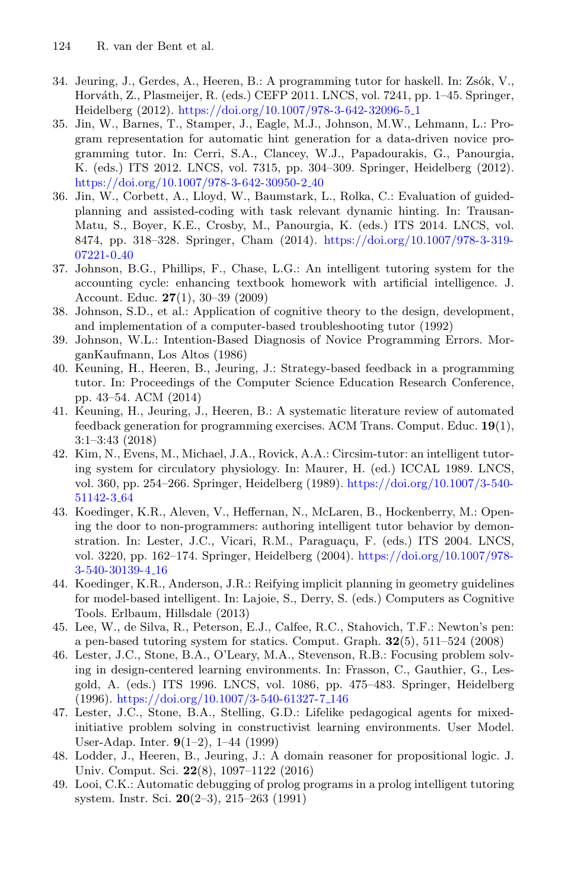- 34. Jeuring, J., Gerdes, A., Heeren, B.: A programming tutor for haskell. In: Zsók, V., Horváth, Z., Plasmeijer, R. (eds.) CEFP 2011. LNCS, vol. 7241, pp. 1–45. Springer, Heidelberg (2012). [https://doi.org/10.1007/978-3-642-32096-5](https://doi.org/10.1007/978-3-642-32096-5_1) 1
- 35. Jin, W., Barnes, T., Stamper, J., Eagle, M.J., Johnson, M.W., Lehmann, L.: Program representation for automatic hint generation for a data-driven novice programming tutor. In: Cerri, S.A., Clancey, W.J., Papadourakis, G., Panourgia, K. (eds.) ITS 2012. LNCS, vol. 7315, pp. 304–309. Springer, Heidelberg (2012). [https://doi.org/10.1007/978-3-642-30950-2](https://doi.org/10.1007/978-3-642-30950-2_40) 40
- 36. Jin, W., Corbett, A., Lloyd, W., Baumstark, L., Rolka, C.: Evaluation of guidedplanning and assisted-coding with task relevant dynamic hinting. In: Trausan-Matu, S., Boyer, K.E., Crosby, M., Panourgia, K. (eds.) ITS 2014. LNCS, vol. 8474, pp. 318–328. Springer, Cham (2014). [https://doi.org/10.1007/978-3-319-](https://doi.org/10.1007/978-3-319-07221-0_40) [07221-0](https://doi.org/10.1007/978-3-319-07221-0_40) 40
- 37. Johnson, B.G., Phillips, F., Chase, L.G.: An intelligent tutoring system for the accounting cycle: enhancing textbook homework with artificial intelligence. J. Account. Educ. **27**(1), 30–39 (2009)
- <span id="page-13-3"></span>38. Johnson, S.D., et al.: Application of cognitive theory to the design, development, and implementation of a computer-based troubleshooting tutor (1992)
- <span id="page-13-1"></span>39. Johnson, W.L.: Intention-Based Diagnosis of Novice Programming Errors. MorganKaufmann, Los Altos (1986)
- 40. Keuning, H., Heeren, B., Jeuring, J.: Strategy-based feedback in a programming tutor. In: Proceedings of the Computer Science Education Research Conference, pp. 43–54. ACM (2014)
- <span id="page-13-2"></span>41. Keuning, H., Jeuring, J., Heeren, B.: A systematic literature review of automated feedback generation for programming exercises. ACM Trans. Comput. Educ. **19**(1), 3:1–3:43 (2018)
- 42. Kim, N., Evens, M., Michael, J.A., Rovick, A.A.: Circsim-tutor: an intelligent tutoring system for circulatory physiology. In: Maurer, H. (ed.) ICCAL 1989. LNCS, vol. 360, pp. 254–266. Springer, Heidelberg (1989). [https://doi.org/10.1007/3-540-](https://doi.org/10.1007/3-540-51142-3_64) [51142-3](https://doi.org/10.1007/3-540-51142-3_64) 64
- <span id="page-13-0"></span>43. Koedinger, K.R., Aleven, V., Heffernan, N., McLaren, B., Hockenberry, M.: Opening the door to non-programmers: authoring intelligent tutor behavior by demonstration. In: Lester, J.C., Vicari, R.M., Paraguaçu, F. (eds.) ITS 2004. LNCS, vol. 3220, pp. 162–174. Springer, Heidelberg (2004). [https://doi.org/10.1007/978-](https://doi.org/10.1007/978-3-540-30139-4_16) [3-540-30139-4](https://doi.org/10.1007/978-3-540-30139-4_16) 16
- 44. Koedinger, K.R., Anderson, J.R.: Reifying implicit planning in geometry guidelines for model-based intelligent. In: Lajoie, S., Derry, S. (eds.) Computers as Cognitive Tools. Erlbaum, Hillsdale (2013)
- 45. Lee, W., de Silva, R., Peterson, E.J., Calfee, R.C., Stahovich, T.F.: Newton's pen: a pen-based tutoring system for statics. Comput. Graph. **32**(5), 511–524 (2008)
- 46. Lester, J.C., Stone, B.A., O'Leary, M.A., Stevenson, R.B.: Focusing problem solving in design-centered learning environments. In: Frasson, C., Gauthier, G., Lesgold, A. (eds.) ITS 1996. LNCS, vol. 1086, pp. 475–483. Springer, Heidelberg (1996). [https://doi.org/10.1007/3-540-61327-7](https://doi.org/10.1007/3-540-61327-7_146) 146
- 47. Lester, J.C., Stone, B.A., Stelling, G.D.: Lifelike pedagogical agents for mixedinitiative problem solving in constructivist learning environments. User Model. User-Adap. Inter. **9**(1–2), 1–44 (1999)
- <span id="page-13-4"></span>48. Lodder, J., Heeren, B., Jeuring, J.: A domain reasoner for propositional logic. J. Univ. Comput. Sci. **22**(8), 1097–1122 (2016)
- 49. Looi, C.K.: Automatic debugging of prolog programs in a prolog intelligent tutoring system. Instr. Sci. **20**(2–3), 215–263 (1991)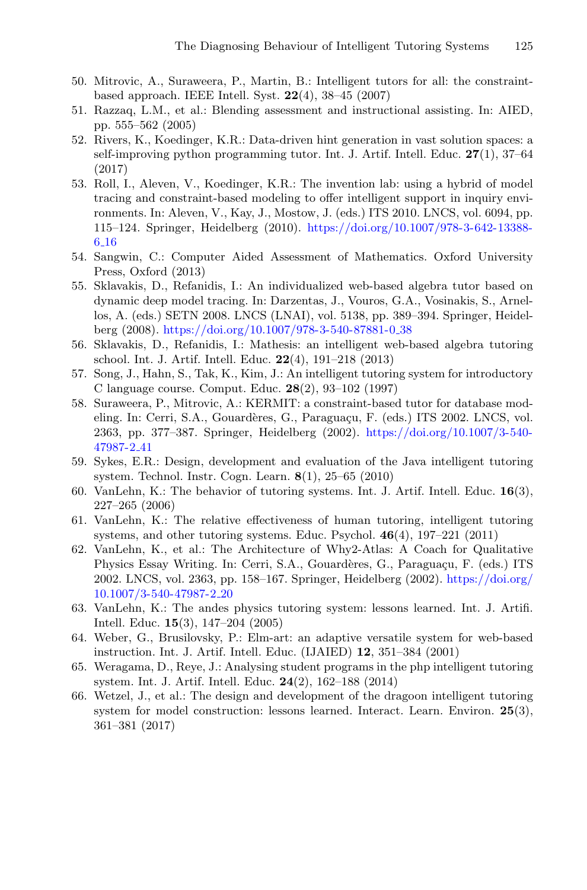- <span id="page-14-1"></span>50. Mitrovic, A., Suraweera, P., Martin, B.: Intelligent tutors for all: the constraintbased approach. IEEE Intell. Syst. **22**(4), 38–45 (2007)
- 51. Razzaq, L.M., et al.: Blending assessment and instructional assisting. In: AIED, pp. 555–562 (2005)
- 52. Rivers, K., Koedinger, K.R.: Data-driven hint generation in vast solution spaces: a self-improving python programming tutor. Int. J. Artif. Intell. Educ. **27**(1), 37–64 (2017)
- 53. Roll, I., Aleven, V., Koedinger, K.R.: The invention lab: using a hybrid of model tracing and constraint-based modeling to offer intelligent support in inquiry environments. In: Aleven, V., Kay, J., Mostow, J. (eds.) ITS 2010. LNCS, vol. 6094, pp. 115–124. Springer, Heidelberg (2010). [https://doi.org/10.1007/978-3-642-13388-](https://doi.org/10.1007/978-3-642-13388-6_16) 6 [16](https://doi.org/10.1007/978-3-642-13388-6_16)
- <span id="page-14-3"></span>54. Sangwin, C.: Computer Aided Assessment of Mathematics. Oxford University Press, Oxford (2013)
- 55. Sklavakis, D., Refanidis, I.: An individualized web-based algebra tutor based on dynamic deep model tracing. In: Darzentas, J., Vouros, G.A., Vosinakis, S., Arnellos, A. (eds.) SETN 2008. LNCS (LNAI), vol. 5138, pp. 389–394. Springer, Heidelberg (2008). [https://doi.org/10.1007/978-3-540-87881-0](https://doi.org/10.1007/978-3-540-87881-0_38) 38
- 56. Sklavakis, D., Refanidis, I.: Mathesis: an intelligent web-based algebra tutoring school. Int. J. Artif. Intell. Educ. **22**(4), 191–218 (2013)
- 57. Song, J., Hahn, S., Tak, K., Kim, J.: An intelligent tutoring system for introductory C language course. Comput. Educ. **28**(2), 93–102 (1997)
- 58. Suraweera, P., Mitrovic, A.: KERMIT: a constraint-based tutor for database modeling. In: Cerri, S.A., Gouardères, G., Paraguaçu, F. (eds.) ITS 2002. LNCS, vol. 2363, pp. 377–387. Springer, Heidelberg (2002). [https://doi.org/10.1007/3-540-](https://doi.org/10.1007/3-540-47987-2_41) [47987-2](https://doi.org/10.1007/3-540-47987-2_41) 41
- 59. Sykes, E.R.: Design, development and evaluation of the Java intelligent tutoring system. Technol. Instr. Cogn. Learn. **8**(1), 25–65 (2010)
- <span id="page-14-0"></span>60. VanLehn, K.: The behavior of tutoring systems. Int. J. Artif. Intell. Educ. **16**(3), 227–265 (2006)
- <span id="page-14-2"></span>61. VanLehn, K.: The relative effectiveness of human tutoring, intelligent tutoring systems, and other tutoring systems. Educ. Psychol. **46**(4), 197–221 (2011)
- 62. VanLehn, K., et al.: The Architecture of Why2-Atlas: A Coach for Qualitative Physics Essay Writing. In: Cerri, S.A., Gouardères, G., Paraguaçu, F. (eds.) ITS 2002. LNCS, vol. 2363, pp. 158–167. Springer, Heidelberg (2002). [https://doi.org/](https://doi.org/10.1007/3-540-47987-2_20) [10.1007/3-540-47987-2](https://doi.org/10.1007/3-540-47987-2_20) 20
- <span id="page-14-4"></span>63. VanLehn, K.: The andes physics tutoring system: lessons learned. Int. J. Artifi. Intell. Educ. **15**(3), 147–204 (2005)
- 64. Weber, G., Brusilovsky, P.: Elm-art: an adaptive versatile system for web-based instruction. Int. J. Artif. Intell. Educ. (IJAIED) **12**, 351–384 (2001)
- 65. Weragama, D., Reye, J.: Analysing student programs in the php intelligent tutoring system. Int. J. Artif. Intell. Educ. **24**(2), 162–188 (2014)
- 66. Wetzel, J., et al.: The design and development of the dragoon intelligent tutoring system for model construction: lessons learned. Interact. Learn. Environ. **25**(3), 361–381 (2017)